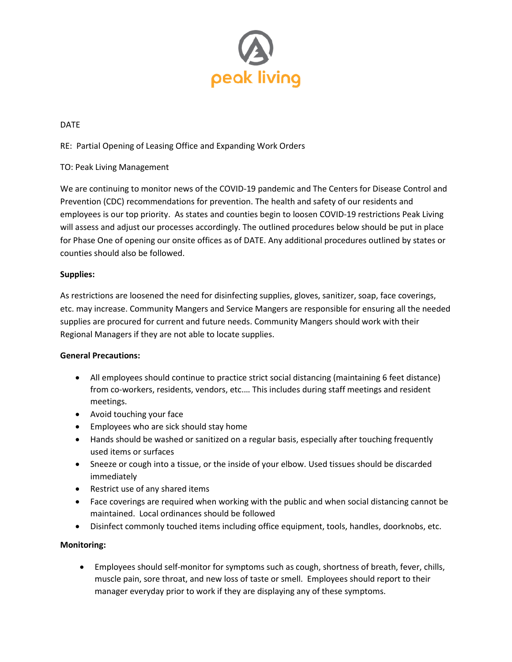

#### DATE

RE: Partial Opening of Leasing Office and Expanding Work Orders

### TO: Peak Living Management

We are continuing to monitor news of the COVID-19 pandemic and The Centers for Disease Control and Prevention (CDC) recommendations for prevention. The health and safety of our residents and employees is our top priority. As states and counties begin to loosen COVID-19 restrictions Peak Living will assess and adjust our processes accordingly. The outlined procedures below should be put in place for Phase One of opening our onsite offices as of DATE. Any additional procedures outlined by states or counties should also be followed.

#### **Supplies:**

As restrictions are loosened the need for disinfecting supplies, gloves, sanitizer, soap, face coverings, etc. may increase. Community Mangers and Service Mangers are responsible for ensuring all the needed supplies are procured for current and future needs. Community Mangers should work with their Regional Managers if they are not able to locate supplies.

#### **General Precautions:**

- All employees should continue to practice strict social distancing (maintaining 6 feet distance) from co-workers, residents, vendors, etc.… This includes during staff meetings and resident meetings.
- Avoid touching your face
- Employees who are sick should stay home
- Hands should be washed or sanitized on a regular basis, especially after touching frequently used items or surfaces
- Sneeze or cough into a tissue, or the inside of your elbow. Used tissues should be discarded immediately
- Restrict use of any shared items
- Face coverings are required when working with the public and when social distancing cannot be maintained. Local ordinances should be followed
- Disinfect commonly touched items including office equipment, tools, handles, doorknobs, etc.

#### **Monitoring:**

• Employees should self-monitor for symptoms such as cough, shortness of breath, fever, chills, muscle pain, sore throat, and new loss of taste or smell. Employees should report to their manager everyday prior to work if they are displaying any of these symptoms.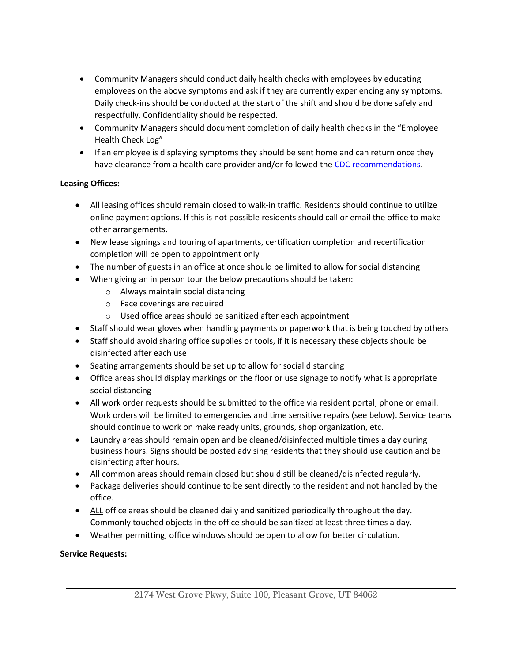- Community Managers should conduct daily health checks with employees by educating employees on the above symptoms and ask if they are currently experiencing any symptoms. Daily check-ins should be conducted at the start of the shift and should be done safely and respectfully. Confidentiality should be respected.
- Community Managers should document completion of daily health checks in the "Employee Health Check Log"
- If an employee is displaying symptoms they should be sent home and can return once they have clearance from a health care provider and/or followed the [CDC recommendations.](https://www.cdc.gov/coronavirus/2019-ncov/if-you-are-sick/steps-when-sick.html)

# **Leasing Offices:**

- All leasing offices should remain closed to walk-in traffic. Residents should continue to utilize online payment options. If this is not possible residents should call or email the office to make other arrangements.
- New lease signings and touring of apartments, certification completion and recertification completion will be open to appointment only
- The number of guests in an office at once should be limited to allow for social distancing
- When giving an in person tour the below precautions should be taken:
	- o Always maintain social distancing
	- o Face coverings are required
	- o Used office areas should be sanitized after each appointment
- Staff should wear gloves when handling payments or paperwork that is being touched by others
- Staff should avoid sharing office supplies or tools, if it is necessary these objects should be disinfected after each use
- Seating arrangements should be set up to allow for social distancing
- Office areas should display markings on the floor or use signage to notify what is appropriate social distancing
- All work order requests should be submitted to the office via resident portal, phone or email. Work orders will be limited to emergencies and time sensitive repairs (see below). Service teams should continue to work on make ready units, grounds, shop organization, etc.
- Laundry areas should remain open and be cleaned/disinfected multiple times a day during business hours. Signs should be posted advising residents that they should use caution and be disinfecting after hours.
- All common areas should remain closed but should still be cleaned/disinfected regularly.
- Package deliveries should continue to be sent directly to the resident and not handled by the office.
- ALL office areas should be cleaned daily and sanitized periodically throughout the day. Commonly touched objects in the office should be sanitized at least three times a day.
- Weather permitting, office windows should be open to allow for better circulation.

# **Service Requests:**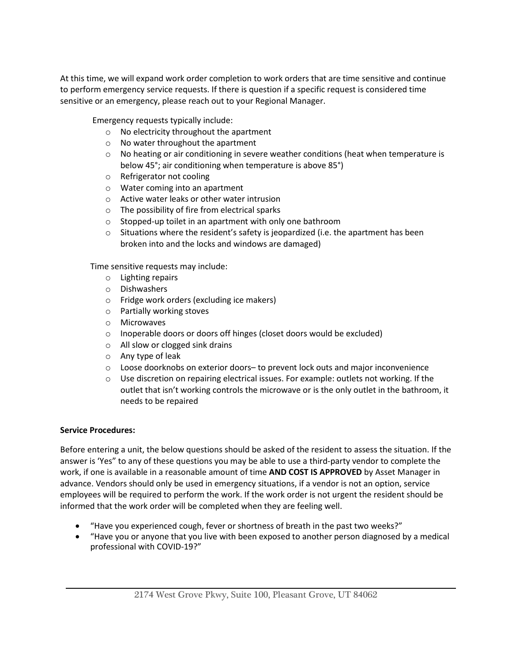At this time, we will expand work order completion to work orders that are time sensitive and continue to perform emergency service requests. If there is question if a specific request is considered time sensitive or an emergency, please reach out to your Regional Manager.

Emergency requests typically include:

- o No electricity throughout the apartment
- o No water throughout the apartment
- $\circ$  No heating or air conditioning in severe weather conditions (heat when temperature is below 45°; air conditioning when temperature is above 85°)
- o Refrigerator not cooling
- o Water coming into an apartment
- o Active water leaks or other water intrusion
- o The possibility of fire from electrical sparks
- o Stopped-up toilet in an apartment with only one bathroom
- $\circ$  Situations where the resident's safety is jeopardized (i.e. the apartment has been broken into and the locks and windows are damaged)

Time sensitive requests may include:

- o Lighting repairs
- o Dishwashers
- o Fridge work orders (excluding ice makers)
- o Partially working stoves
- o Microwaves
- o Inoperable doors or doors off hinges (closet doors would be excluded)
- o All slow or clogged sink drains
- o Any type of leak
- o Loose doorknobs on exterior doors– to prevent lock outs and major inconvenience
- $\circ$  Use discretion on repairing electrical issues. For example: outlets not working. If the outlet that isn't working controls the microwave or is the only outlet in the bathroom, it needs to be repaired

### **Service Procedures:**

Before entering a unit, the below questions should be asked of the resident to assess the situation. If the answer is 'Yes" to any of these questions you may be able to use a third-party vendor to complete the work, if one is available in a reasonable amount of time **AND COST IS APPROVED** by Asset Manager in advance. Vendors should only be used in emergency situations, if a vendor is not an option, service employees will be required to perform the work. If the work order is not urgent the resident should be informed that the work order will be completed when they are feeling well.

- "Have you experienced cough, fever or shortness of breath in the past two weeks?"
- "Have you or anyone that you live with been exposed to another person diagnosed by a medical professional with COVID-19?"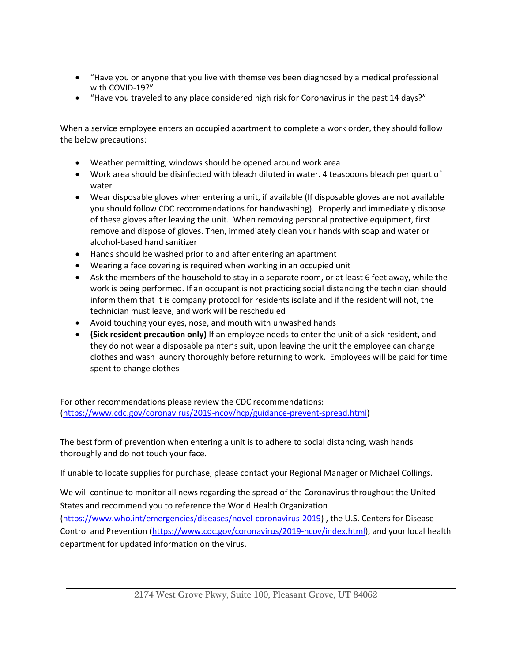- "Have you or anyone that you live with themselves been diagnosed by a medical professional with COVID-19?"
- "Have you traveled to any place considered high risk for Coronavirus in the past 14 days?"

When a service employee enters an occupied apartment to complete a work order, they should follow the below precautions:

- Weather permitting, windows should be opened around work area
- Work area should be disinfected with bleach diluted in water. 4 teaspoons bleach per quart of water
- Wear disposable gloves when entering a unit, if available (If disposable gloves are not available you should follow CDC recommendations for handwashing). Properly and immediately dispose of these gloves after leaving the unit. When removing personal protective equipment, first remove and dispose of gloves. Then, immediately clean your hands with soap and water or alcohol-based hand sanitizer
- Hands should be washed prior to and after entering an apartment
- Wearing a face covering is required when working in an occupied unit
- Ask the members of the household to stay in a separate room, or at least 6 feet away, while the work is being performed. If an occupant is not practicing social distancing the technician should inform them that it is company protocol for residents isolate and if the resident will not, the technician must leave, and work will be rescheduled
- Avoid touching your eyes, nose, and mouth with unwashed hands
- **(Sick resident precaution only)** If an employee needs to enter the unit of a sick resident, and they do not wear a disposable painter's suit, upon leaving the unit the employee can change clothes and wash laundry thoroughly before returning to work. Employees will be paid for time spent to change clothes

For other recommendations please review the CDC recommendations: [\(https://www.cdc.gov/coronavirus/2019-ncov/hcp/guidance-prevent-spread.html\)](https://www.cdc.gov/coronavirus/2019-ncov/hcp/guidance-prevent-spread.html)

The best form of prevention when entering a unit is to adhere to social distancing, wash hands thoroughly and do not touch your face.

If unable to locate supplies for purchase, please contact your Regional Manager or Michael Collings.

We will continue to monitor all news regarding the spread of the Coronavirus throughout the United States and recommend you to reference the World Health Organization

[\(https://www.who.int/emergencies/diseases/novel-coronavirus-2019\)](https://www.who.int/emergencies/diseases/novel-coronavirus-2019) , the U.S. Centers for Disease Control and Prevention [\(https://www.cdc.gov/coronavirus/2019-ncov/index.html\)](https://www.cdc.gov/coronavirus/2019-ncov/index.html), and your local health department for updated information on the virus.